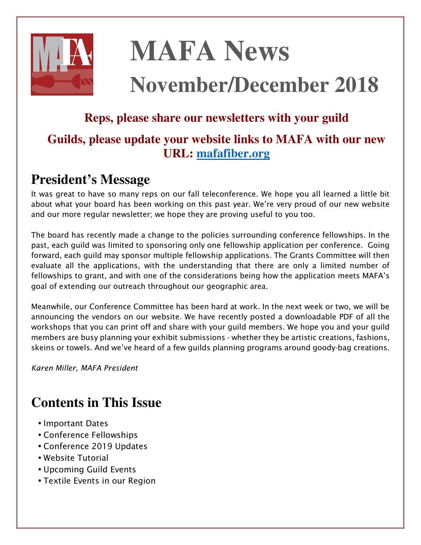

# **MAFA News**

## **November/December 2018**

### **Reps, please share our newsletters with your guild**

### **Guilds, please update your website links to MAFA with our new URL: [mafafiber.org](https://mafafiber.org)**

### **President's Message**

*It was great to have so many reps on our fall teleconference. We hope you all learned a little bit about what your board has been working on this past year. We're very proud of our new website and our more regular newsletter; we hope they are proving useful to you too.* 

*The board has recently made a change to the policies surrounding conference fellowships. In the*  past, each guild was limited to sponsoring only one fellowship application per conference. Going forward, each guild may sponsor multiple fellowship applications. The Grants Committee will then *evaluate all the applications, with the understanding that there are only a limited number of fellowships to grant, and with one of the considerations being how the application meets MAFA's goal of extending our outreach throughout our geographic area.* 

*Meanwhile, our Conference Committee has been hard at work. In the next week or two, we will be announcing the vendors on our website. We have recently posted a downloadable PDF of all the workshops that you can print off and share with your guild members. We hope you and your guild members are busy planning your exhibit submissions - whether they be artistic creations, fashions, skeins or towels. And we've heard of a few guilds planning programs around goody-bag creations.* 

*Karen Miller, MAFA President* 

### **Contents in This Issue**

- *Important Dates*
- *Conference Fellowships*
- *Conference 2019 Updates*
- *Website Tutorial*
- *Upcoming Guild Events*
- *Textile Events in our Region*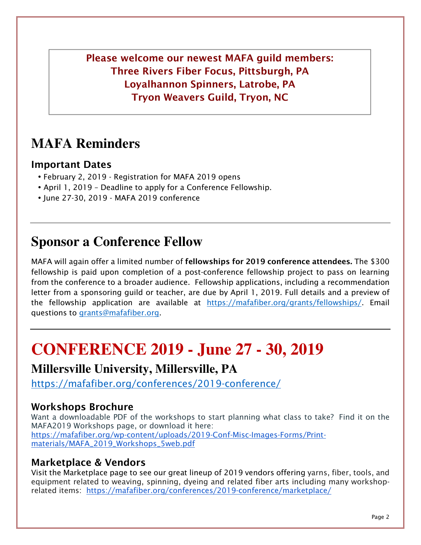**Please welcome our newest MAFA guild members: Three Rivers Fiber Focus, Pittsburgh, PA Loyalhannon Spinners, Latrobe, PA Tryon Weavers Guild, Tryon, NC** 

### **MAFA Reminders**

#### **Important Dates**

- *February 2, 2019 Registration for MAFA 2019 opens*
- *April 1, 2019 Deadline to apply for a Conference Fellowship.*
- *June 27-30, 2019 MAFA 2019 conference*

### **Sponsor a Conference Fellow**

*MAFA will again offer a limited number of* **fellowships for 2019 conference attendees.** *The \$300 fellowship is paid upon completion of a post-conference fellowship project to pass on learning from the conference to a broader audience. Fellowship applications, including a recommendation*  letter from a sponsoring guild or teacher, are due by April 1, 2019. Full details and a preview of *the fellowship application are available at https://mafafiber.org/grants/fellowships/. Email questions to grants@mafafiber.org.* 

### **CONFERENCE 2019 - June 27 - 30, 2019**

#### **Millersville University, Millersville, PA**

*https://mafafiber.org/conferences/2019-conference/*

#### **Workshops Brochure**

*Want a downloadable PDF of the workshops to start planning what class to take? Find it on the MAFA2019 Workshops page, or download it here: https://mafafiber.org/wp-content/uploads/2019-Conf-Misc-Images-Forms/Printmaterials/MAFA\_2019\_Workshops\_5web.pdf*

#### **Marketplace & Vendors**

*Visit the Marketplace page to see our great lineup of 2019 vendors offering yarns, fiber, tools, and equipment related to weaving, spinning, dyeing and related fiber arts including many workshoprelated items: https://mafafiber.org/conferences/2019-conference/marketplace/*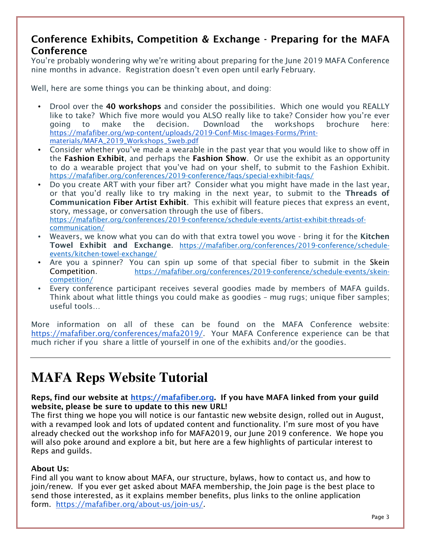#### **Conference Exhibits, Competition & Exchange - Preparing for the MAFA Conference**

*You're probably wondering why we're writing about preparing for the June 2019 MAFA Conference nine months in advance. Registration doesn't even open until early February.*

*Well, here are some things you can be thinking about, and doing:*

- *Drool over the* **40 workshops** *and consider the possibilities. Which one would you REALLY like to take? Which five more would you ALSO really like to take? Consider how you're ever going to make the decision. Download the workshops brochure here: https://mafafiber.org/wp-content/uploads/2019-Conf-Misc-Images-Forms/Printmaterials/MAFA\_2019\_Workshops\_5web.pdf*
- *Consider whether you've made a wearable in the past year that you would like to show off in the* **Fashion Exhibit***, and perhaps the* **Fashion Show***. Or use the exhibit as an opportunity to do a wearable project that you've had on your shelf, to submit to the Fashion Exhibit. https://mafafiber.org/conferences/2019-conference/faqs/special-exhibit-faqs/*
- *Do you create ART with your fiber art? Consider what you might have made in the last year, or that you'd really like to try making in the next year, to submit to the* **Threads of Communication Fiber Artist Exhibit***. This exhibit will feature pieces that express an event, story, message, or conversation through the use of fibers. https://mafafiber.org/conferences/2019-conference/schedule-events/artist-exhibit-threads-ofcommunication/*
- Weavers, we know what you can do with that extra towel you wove bring it for the **Kitchen Towel Exhibit and Exchange***. https://mafafiber.org/conferences/2019-conference/scheduleevents/kitchen-towel-exchange/*
- *Are you a spinner? You can spin up some of that special fiber to submit in the Skein Competition. https://mafafiber.org/conferences/2019-conference/schedule-events/skeincompetition/*
- *Every conference participant receives several goodies made by members of MAFA guilds. Think about what little things you could make as goodies – mug rugs; unique fiber samples; useful tools…*

*More information on all of these can be found on the MAFA Conference website: https://mafafiber.org/conferences/mafa2019/. Your MAFA Conference experience can be that much richer if you share a little of yourself in one of the exhibits and/or the goodies.*

### **MAFA Reps Website Tutorial**

**Reps, find our website at https://mafafiber.org. If you have MAFA linked from your guild website, please be sure to update to this new URL!**

*The first thing we hope you will notice is our fantastic new website design, rolled out in August, with a revamped look and lots of updated content and functionality. I'm sure most of you have already checked out the workshop info for MAFA2019, our June 2019 conference. We hope you will also poke around and explore a bit, but here are a few highlights of particular interest to Reps and guilds.* 

#### **About Us:**

*Find all you want to know about MAFA, our structure, bylaws, how to contact us, and how to join/renew. If you ever get asked about MAFA membership, the Join page is the best place to send those interested, as it explains member benefits, plus links to the online application form. https://mafafiber.org/about-us/join-us/.*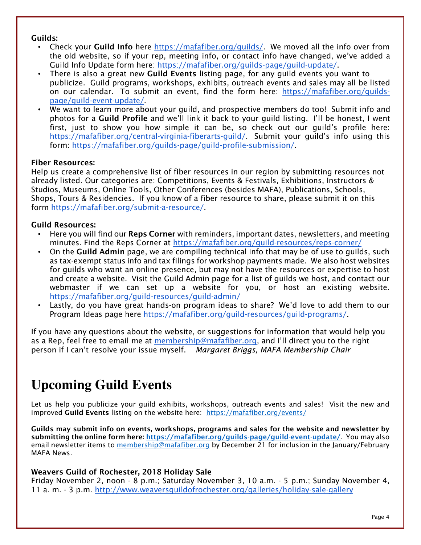#### **Guilds:**

- *Check your* **Guild Info** *here https://mafafiber.org/guilds/. We moved all the info over from the old website, so if your rep, meeting info, or contact info have changed, we've added a Guild Info Update form here: https://mafafiber.org/guilds-page/guild-update/.*
- *There is also a great new* **Guild Events** *listing page, for any guild events you want to publicize. Guild programs, workshops, exhibits, outreach events and sales may all be listed on our calendar. To submit an event, find the form here: https://mafafiber.org/guildspage/guild-event-update/.*
- *We want to learn more about your guild, and prospective members do too! Submit info and photos for a* **Guild Profile** *and we'll link it back to your guild listing. I'll be honest, I went first, just to show you how simple it can be, so check out our guild's profile here: https://mafafiber.org/central-virginia-fiberarts-guild/. Submit your guild's info using this form: https://mafafiber.org/guilds-page/guild-profile-submission/.*

#### **Fiber Resources:**

*Help us create a comprehensive list of fiber resources in our region by submitting resources not already listed. Our categories are: Competitions, Events & Festivals, Exhibitions, Instructors & Studios, Museums, Online Tools, Other Conferences (besides MAFA), Publications, Schools, Shops, Tours & Residencies. If you know of a fiber resource to share, please submit it on this form https://mafafiber.org/submit-a-resource/.*

#### **Guild Resources:**

- *Here you will find our* **Reps Corner** *with reminders, important dates, newsletters, and meeting minutes. Find the Reps Corner at https://mafafiber.org/guild-resources/reps-corner/*
- *On the* **Guild Admin** *page, we are compiling technical info that may be of use to guilds, such as tax-exempt status info and tax filings for workshop payments made. We also host websites for guilds who want an online presence, but may not have the resources or expertise to host and create a website. Visit the Guild Admin page for a list of guilds we host, and contact our webmaster if we can set up a website for you, or host an existing website. https://mafafiber.org/guild-resources/guild-admin/*
- *Lastly, do you have great hands-on program ideas to share? We'd love to add them to our Program Ideas page here https://mafafiber.org/guild-resources/guild-programs/.*

*If you have any questions about the website, or suggestions for information that would help you as a Rep, feel free to email me at membership@mafafiber.org, and I'll direct you to the right person if I can't resolve your issue myself. Margaret Briggs, MAFA Membership Chair*

### **Upcoming Guild Events**

Let us help you publicize your guild exhibits, workshops, outreach events and sales! Visit the new and *improved* **Guild Events** *listing on the website here: https://mafafiber.org/events/*

**Guilds may submit info on events, workshops, programs and sales for the website and newsletter by submitting the online form here: https://mafafiber.org/guilds-page/guild-event-update/***. You may also email newsletter items to membership@mafafiber.org by December 21 for inclusion in the January/February MAFA News.*

#### **Weavers Guild of Rochester, 2018 Holiday Sale**

*Friday November 2, noon - 8 p.m.; Saturday November 3, 10 a.m. - 5 p.m.; Sunday November 4, 11 a. m. - 3 p.m. http://www.weaversguildofrochester.org/galleries/holiday-sale-gallery*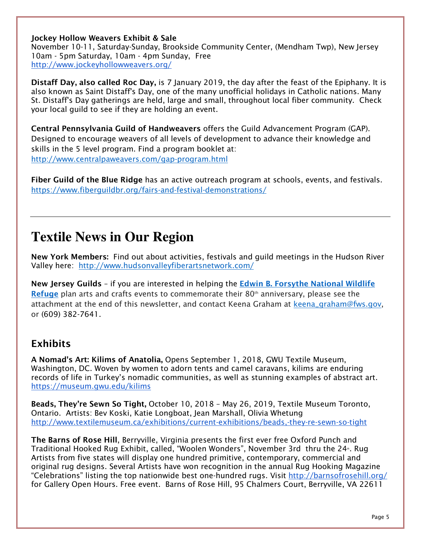**Jockey Hollow Weavers Exhibit & Sale**

*November 10-11, Saturday-Sunday, Brookside Community Center, (Mendham Twp), New Jersey 10am - 5pm Saturday, 10am - 4pm Sunday, Free http://www.jockeyhollowweavers.org/*

**Distaff Day, also called Roc Day,** *is 7 January 2019, the day after the feast of the Epiphany. It is also known as Saint Distaff's Day, one of the many unofficial holidays in Catholic nations. Many St. Distaff's Day gatherings are held, large and small, throughout local fiber community. Check your local guild to see if they are holding an event.*

**Central Pennsylvania Guild of Handweavers** *offers the Guild Advancement Program (GAP). Designed to encourage weavers of all levels of development to advance their knowledge and skills in the 5 level program. Find a program booklet at: http://www.centralpaweavers.com/gap-program.html*

**Fiber Guild of the Blue Ridge** *has an active outreach program at schools, events, and festivals. https://www.fiberguildbr.org/fairs-and-festival-demonstrations/*

### **Textile News in Our Region**

**New York Members:** *Find out about activities, festivals and guild meetings in the Hudson River Valley here: http://www.hudsonvalleyfiberartsnetwork.com/*

**New Jersey Guilds** *– if you are interested in helping the* **Edwin B. Forsythe National Wildlife Refuge** *plan arts and crafts events to commemorate their 80 th anniversary, please see the attachment at the end of this newsletter, and contact Keena Graham at keena\_graham@fws.gov, or (609) 382-7641.*

#### **Exhibits**

**A Nomad's Art: Kilims of Anatolia,** *Opens September 1, 2018, GWU Textile Museum, Washington, DC. Woven by women to adorn tents and camel caravans, kilims are enduring records of life in Turkey's nomadic communities, as well as stunning examples of abstract art. https://museum.gwu.edu/kilims*

**Beads, They're Sewn So Tight,** *October 10, 2018 – May 26, 2019, Textile Museum Toronto, Ontario. Artists: Bev Koski, Katie Longboat, Jean Marshall, Olivia Whetung http://www.textilemuseum.ca/exhibitions/current-exhibitions/beads,-they-re-sewn-so-tight*

**The Barns of Rose Hill***, Berryville, Virginia presents the first ever free Oxford Punch and Traditional Hooked Rug Exhibit, called, "Woolen Wonders", November 3rd thru the 24<sup>\*</sup>. Rug Artists from five states will display one hundred primitive, contemporary, commercial and original rug designs. Several Artists have won recognition in the annual Rug Hooking Magazine "Celebrations" listing the top nationwide best one-hundred rugs. Visit http://barnsofrosehill.org/ for Gallery Open Hours. Free event. Barns of Rose Hill, 95 Chalmers Court, Berryville, VA 22611*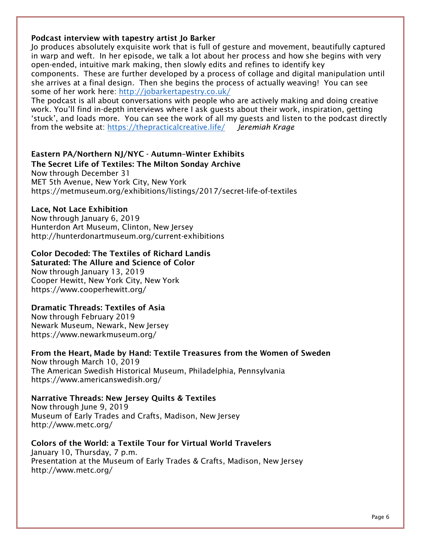#### **Podcast interview with tapestry artist Jo Barker**

*Jo produces absolutely exquisite work that is full of gesture and movement, beautifully captured in warp and weft. In her episode, we talk a lot about her process and how she begins with very open-ended, intuitive mark making, then slowly edits and refines to identify key components. These are further developed by a process of collage and digital manipulation until she arrives at a final design. Then she begins the process of actually weaving! You can see some of her work here: http://jobarkertapestry.co.uk/*

*The podcast is all about conversations with people who are actively making and doing creative*  work. You'll find in-depth interviews where I ask guests about their work, inspiration, getting *'stuck', and loads more. You can see the work of all my guests and listen to the podcast directly from the website at: https://thepracticalcreative.life/ Jeremiah Krage*

#### **Eastern PA/Northern NJ/NYC - Autumn–Winter Exhibits**

**The Secret Life of Textiles: The Milton Sonday Archive**

*Now through December 31 MET 5th Avenue, New York City, New York https://metmuseum.org/exhibitions/listings/2017/secret-life-of-textiles*

#### **Lace, Not Lace Exhibition**

*Now through January 6, 2019 Hunterdon Art Museum, Clinton, New Jersey http://hunterdonartmuseum.org/current-exhibitions*

#### **Color Decoded: The Textiles of Richard Landis**

**Saturated: The Allure and Science of Color**

*Now through January 13, 2019 Cooper Hewitt, New York City, New York https://www.cooperhewitt.org/*

#### **Dramatic Threads: Textiles of Asia**

*Now through February 2019 Newark Museum, Newark, New Jersey https://www.newarkmuseum.org/*

**From the Heart, Made by Hand: Textile Treasures from the Women of Sweden** *Now through March 10, 2019 The American Swedish Historical Museum, Philadelphia, Pennsylvania https://www.americanswedish.org/*

#### **Narrative Threads: New Jersey Quilts & Textiles**

*Now through June 9, 2019 Museum of Early Trades and Crafts, Madison, New Jersey http://www.metc.org/*

**Colors of the World: a Textile Tour for Virtual World Travelers** *January 10, Thursday, 7 p.m. Presentation at the Museum of Early Trades & Crafts, Madison, New Jersey http://www.metc.org/*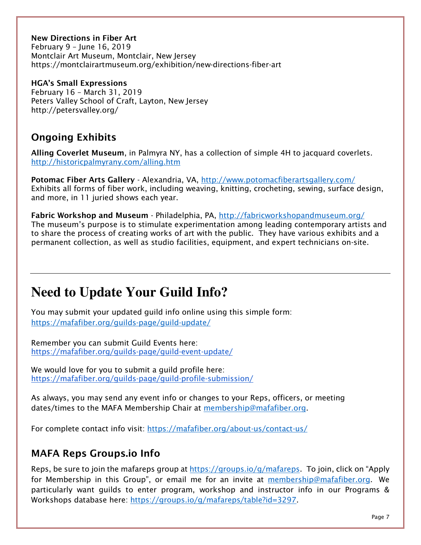**New Directions in Fiber Art** *February 9 – June 16, 2019 Montclair Art Museum, Montclair, New Jersey https://montclairartmuseum.org/exhibition/new-directions-fiber-art*

**HGA's Small Expressions** *February 16 – March 31, 2019 Peters Valley School of Craft, Layton, New Jersey http://petersvalley.org/*

### **Ongoing Exhibits**

**Alling Coverlet Museum***, in Palmyra NY, has a collection of simple 4H to jacquard coverlets. http://historicpalmyrany.com/alling.htm*

**Potomac Fiber Arts Gallery** *- Alexandria, VA, http://www.potomacfiberartsgallery.com/ Exhibits all forms of fiber work, including weaving, knitting, crocheting, sewing, surface design, and more, in 11 juried shows each year.* 

**Fabric Workshop and Museum** *- Philadelphia, PA, http://fabricworkshopandmuseum.org/ The museum's purpose is to stimulate experimentation among leading contemporary artists and to share the process of creating works of art with the public. They have various exhibits and a permanent collection, as well as studio facilities, equipment, and expert technicians on-site.* 

### **Need to Update Your Guild Info?**

*You may submit your updated guild info online using this simple form: https://mafafiber.org/guilds-page/guild-update/*

*Remember you can submit Guild Events here: https://mafafiber.org/guilds-page/guild-event-update/*

*We would love for you to submit a guild profile here: https://mafafiber.org/guilds-page/guild-profile-submission/*

*As always, you may send any event info or changes to your Reps, officers, or meeting dates/times to the MAFA Membership Chair at membership@mafafiber.org.* 

*For complete contact info visit: https://mafafiber.org/about-us/contact-us/* 

#### **MAFA Reps Groups.io Info**

*Reps, be sure to join the mafareps group at https://groups.io/g/mafareps. To join, click on "Apply for Membership in this Group", or email me for an invite at membership@mafafiber.org. We particularly want guilds to enter program, workshop and instructor info in our Programs & Workshops database here: https://groups.io/g/mafareps/table?id=3297.*